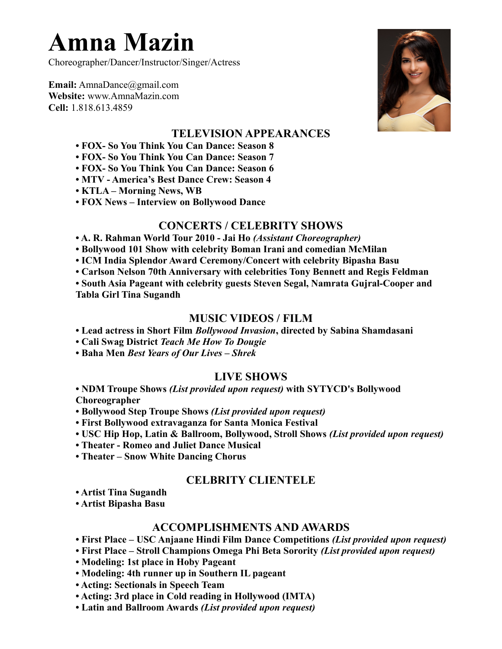# **Amna Mazin**

Choreographer/Dancer/Instructor/Singer/Actress

**Email:** AmnaDance@gmail.com **Website:** www.AmnaMazin.com **Cell:** 1.818.613.4859



## **TELEVISION APPEARANCES**

**• FOX- So You Think You Can Dance: Season 8** 

**• FOX- So You Think You Can Dance: Season 7**

- **FOX- So You Think You Can Dance: Season 6**
- **MTV America's Best Dance Crew: Season 4**
- **KTLA Morning News, WB**
- **FOX News Interview on Bollywood Dance**

## **CONCERTS / CELEBRITY SHOWS**

- **A. R. Rahman World Tour 2010 Jai Ho** *(Assistant Choreographer)*
- **Bollywood 101 Show with celebrity Boman Irani and comedian McMilan**
- **ICM India Splendor Award Ceremony/Concert with celebrity Bipasha Basu**
- **Carlson Nelson 70th Anniversary with celebrities Tony Bennett and Regis Feldman**

**• South Asia Pageant with celebrity guests Steven Segal, Namrata Gujral-Cooper and Tabla Girl Tina Sugandh**

#### **MUSIC VIDEOS / FILM**

- **Lead actress in Short Film** *Bollywood Invasion***, directed by Sabina Shamdasani**
- **Cali Swag District** *Teach Me How To Dougie*
- **Baha Men** *Best Years of Our Lives Shrek*

## **LIVE SHOWS**

**• NDM Troupe Shows** *(List provided upon request)* **with SYTYCD's Bollywood Choreographer**

- **Bollywood Step Troupe Shows** *(List provided upon request)*
- **First Bollywood extravaganza for Santa Monica Festival**
- **USC Hip Hop, Latin & Ballroom, Bollywood, Stroll Shows** *(List provided upon request)*
- **Theater Romeo and Juliet Dance Musical**
- **Theater Snow White Dancing Chorus**

# **CELBRITY CLIENTELE**

**• Artist Tina Sugandh** 

**• Artist Bipasha Basu** 

## **ACCOMPLISHMENTS AND AWARDS**

- **First Place USC Anjaane Hindi Film Dance Competitions** *(List provided upon request)*
- **First Place Stroll Champions Omega Phi Beta Sorority** *(List provided upon request)*
- **Modeling: 1st place in Hoby Pageant**
- **Modeling: 4th runner up in Southern IL pageant**
- **Acting: Sectionals in Speech Team**
- **Acting: 3rd place in Cold reading in Hollywood (IMTA)**
- **Latin and Ballroom Awards** *(List provided upon request)*